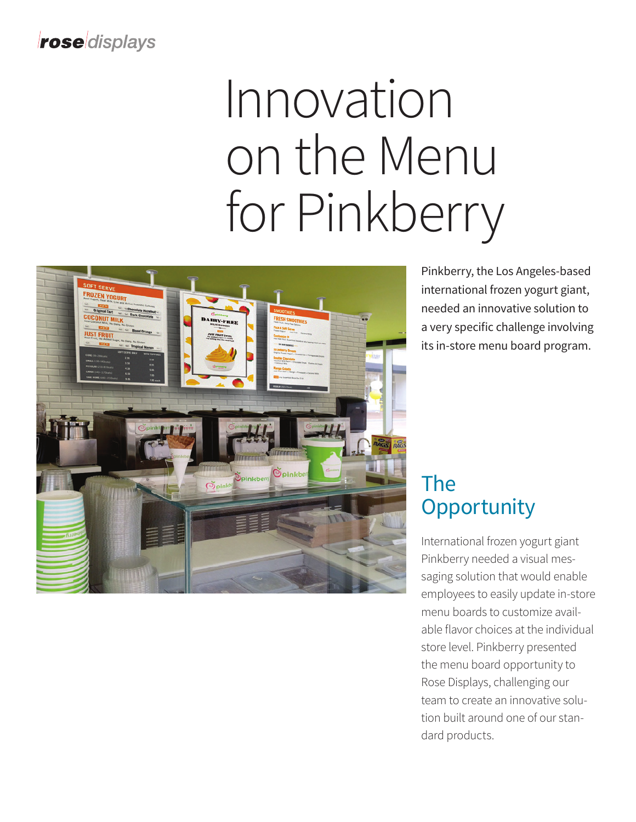#### **rose** displays

# Innovation on the Menu for Pinkberry



Pinkberry, the Los Angeles-based international frozen yogurt giant, needed an innovative solution to a very specific challenge involving its in-store menu board program.

## The **Opportunity**

International frozen yogurt giant Pinkberry needed a visual messaging solution that would enable employees to easily update in-store menu boards to customize available flavor choices at the individual store level. Pinkberry presented the menu board opportunity to Rose Displays, challenging our team to create an innovative solution built around one of our standard products.